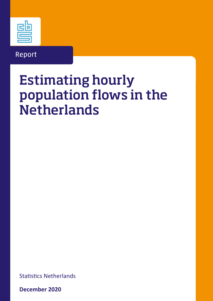

# Report

# Estimating hourly population flows in the **Netherlands**

Statistics Netherlands

**December 2020**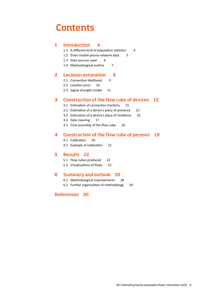# **Contents**

### 1 [Introduction](#page-3-0) 4

- 1.1 [A different kind of population statistics](#page-3-1) 4
- 1.2 [Enter mobile phone network data](#page-4-0) 5
- 1.3 [Data sources used](#page-5-0) 6
- 1.4 [Methodological outline](#page-6-0) 7

### 2 [Location estimation](#page-8-0) 9

- 2.1 [Connection likelihood](#page-8-1) 9
- 2.2 [Location prior](#page-9-0) 10
- 2.3 [Signal strength model](#page-10-0) 11

### 3 [Construction of the flow cube of devices](#page-14-0) 15

- 3.1 [Estimation of connection fractions](#page-14-1) 15
- 3.2 [Estimation of a device's place of presence](#page-14-2) 15
- 3.3 [Estimation of a device's place of residence](#page-15-0) 16
- 3.4 [Data cleaning](#page-16-0) 17
- 3.5 [Final assembly of the flow cube](#page-17-0) 18

### 4 [Construction of the flow cube of persons](#page-18-0) 19

- 4.1 [Calibration](#page-19-0) 20
- 4.2 [Example of calibration](#page-20-0) 21

#### 5 [Results](#page-21-0) 22

- 5.1 [Flow cubes produced](#page-21-1) 22
- 5.2 [Visualisations of flows](#page-22-0) 23

#### 6 [Summary and outlook](#page-27-0) 28

- 6.1 [Methodological improvements](#page-27-1) 28
- 6.2 [Further organisation of methodology](#page-28-0) 29

### [References](#page-28-0) 30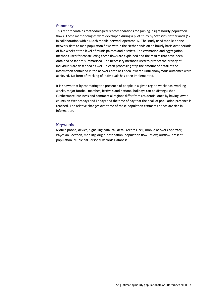#### **Summary**

This report contains methodological reccomendations for gaining insight hourly population flows. These methodologies were developed during a pilot study by Statistics Netherlands (SN) in collaboration with a Dutch mobile network operator SN. The study used mobile phone network data to map population flows within the Netherlands on an hourly basis over periods of five weeks at the level of municipalities and districts. The estimation and aggregation methods used for constructing these flows are explained and the results that have been obtained so far are summarised. The necessary methods used to protect the privacy of individuals are described as well. In each processing step the amount of detail of the information contained in the network data has been lowered until anonymous outcomes were achieved. No form of tracking of individuals has been implemented.

It is shown that by estimating the presence of people in a given region weekends, working weeks, major football matches, festivals and national holidays can be distinguished. Furthermore, business and commercial regions differ from residential ones by having lower counts on Wednesdays and Fridays and the time of day that the peak of population presence is reached. The relative changes over time of these population estimates hence are rich in information.

#### Keywords

Mobile phone, device, signalling data, call detail records, cell, mobile network operator, Bayesian, location, mobility, origin-destination, population flow, inflow, outflow, present population, Municipal Personal Records Database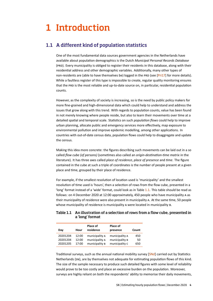# <span id="page-3-0"></span>1 Introduction

# <span id="page-3-1"></span>1.1 A different kind of population statistics

One of the most fundamental data sources government agencies in the Netherlands have available about population demographics is the Dutch *Municipal Personal Records Database* (PRD). Every municipality is obliged to register their residents in this database, along with their residential address and other demographic variables. Additionally, many other types of non-residents are (able to have themselves be) logged in the PRD (see [\[Pri17\]](#page-29-0) for more details). While a faultless register of this type is impossible to create, regular quality monitoring ensures that the PRD is the most reliable and up-to-date source on, in particular, residential population counts.

However, as the complexity of society is increasing, so is the need by public policy makers for more fine-grained and high-dimensional data which could help to understand and address the issues that grow along with this trend. With regards to population counts, value has been found in not merely knowing where people reside, but also to learn their movements over time at a detailed spatial and temporal scale. Statistics on such *population flows* could help to improve urban planning, allocate public and emergency services more effectively, map exposure to environmental pollution and improve epidemic modelling, among other applications. In countries with out-of-date census data, population flows could help to disaggregate and update the census.

Making this idea more concrete: the figures describing such movements can be laid out in a so called *flow cube (of persons)* (sometimes also called an *origin-destination-time matrix* in the literature). It has three axes called *place of residence*, *place of presence* and *time*. The figure contained in the cube at such a triple of coordinates is the number of people present at a given place and time, grouped by their place of residence.

For example, if the smallest resolution of location used is 'municipality' and the smallest resolution of time used is 'hours', then a selection of rows from the flow cube, presented in a 'long' format instead of a 'wide' format, could look as in Table [1.1.](#page-3-2) This table should be read as follows: on 4 December 2020 at 12:00 approximately, 450 people who have municipality A as their municipality of residence were also present in municipality A. At the same time, 50 people whose municipality of residence is municipality A were located in municipality B.

#### <span id="page-3-2"></span>Table 1.1 An illustration of a selection of rows from a flow cube, presented in a 'long' format

| Day      | Hour  | Place of<br>residence | Place of<br>presence | Count |
|----------|-------|-----------------------|----------------------|-------|
| 20201204 | 12:00 | municipality A        | municipality A       | 450   |
| 20201204 | 12:00 | municipality A        | municipality B       | 50    |
| 20201205 | 17:00 | municipality B        | municipality C       | 650   |

Traditional surveys, such as the annual national mobility survey [\[SNd\]](#page-29-1) carried out by Statistics Netherlands (SN), are by themselves not adequate for estimating population flows of this kind. The size of the sample necessary to produce such detailed figures with some level of reliability would prove to be too costly and place an excessive burden on the population. Moreover, surveys are highly reliant on both the respondents' ability to memorise their daily movements,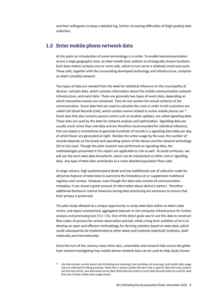and their willingness to keep a detailed log, further increasing difficulties of (high quality) data collection.

# <span id="page-4-0"></span>1.2 Enter mobile phone network data

At this point an introduction of some terminology is in order. To enable telecommunication across a large geographic area, an MNO installs *base stations* at strategically chosen locations. Each base station contains one or more cells, which in turn serve a relatively small area each. These cells, together with the surrounding developed technology and infrastructure, comprise an MNO's (mobile) network.

Two types of data are needed from the MNO for statistical inference on the municipality of devices: *cell plan* data, which contains information about the mobile communication network infrastructure, and *event* data. There are generally two types of event data, depending on which transaction events are contained. They do not contain the actual contents of the communication. Event data that are used to calculate the costs in order to bill customers are called *Call Detail Records* (CDR), which contain events related to active mobile phone use <sup>[1\)](#page-4-1)</sup>. Event data that also contains passive events such as location updates, are called *signalling data*. These data are used by the MNO for network analysis and optimization. Signalling data are usually much richer than CDR data and are therefore recommended for statistical inference. One can expect a smartphone to generate hundreds of records in a signalling data table per day, of which fewer are generated at night. Besides the active usage by the user, the number of records depends on the brand and operating system of the device and the network technology (2G to 5G) used. Though the pilot research was performed on signalling data, the methodologies presented in this report are applicable to CDR as well. To avoid confusion, we will use the term MNO data henceforth, which can be interpreted as either CDR or signalling data. Any type of MNO data contributes to a more detailed population flow cube.

Its large volume, high spatiotemporal detail and low (additional) cost of collection make for attractive features of MNO data to overcome the limitations of, or supplement traditional registers and surveys. However, even though this data only consists of communication metadata, it can reveal a great amount of information about device's owners. Therefore additional disclosure control measures during data processing are necessary to ensure that their privacy is preserved.

The pilot study allowed SN a unique opportunity to study MNO data within an MNO's data centre, and export anonymised, aggregated datasets to SN's computer infrastructure for further analysis and processing (see  $[Val+19]$ ). One of the direct goals was to use this data to construct flow cubes of persons for certain observation periods, while a long term ambition of SN is to develop an open and efficient methodology for deriving statistics based on MNO data, which could subsequently be implemented at other MNOS and (national statistical) institutes, both nationally and internationally.

Since the turn of the century many other NSIS, universities and research labs across the globe have started investigating how mobile phone network data can be used to help study human

<span id="page-4-1"></span>cDR data contain records about calls (initiating and receiving), SMS (sending and receiving), and mobile data usage. CDR are collected for billing purposes. Note that in several studies the term CDR is used for data that only contains call and SMS events, and alternative terms *Data Detail Records* (DDR) or *Event Data Records* (EDR) are used for data that also include mobile data usage events.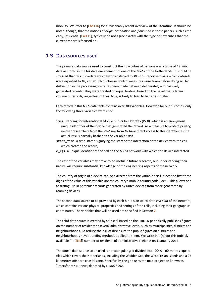mobility. We refer to [\[Che+16\]](#page-29-2) for a reasonably recent overview of the literature. It should be noted, though, that the notions of *origin-destination* and *flow* used in those papers, such as the early, influential [\[Cal+11\]](#page-29-3), typically do not agree exactly with the type of flow cubes that the current report is focused on.

### <span id="page-5-0"></span>1.3 Data sources used

The primary data source used to construct the flow cubes of persons was a table of 4G MNO data as stored in the big data environment of one of the MNOS of the Netherlands. It should be stressed that this microdata was never transferred to SN – this report explains which datasets *were* exported to SN, and which disclosure control measures were taken before doing so. No distinction in the processing steps has been made between deliberately and passively generated records. They were treated on equal footing, based on the belief that a larger volume of records, regardless of their type, is likely to lead to better estimates.

Each record in this MNO data table contains over 300 variables. However, for our purposes, only the following three variables were used:

- **imsi** standing for International Mobile Subscriber Identity (IMSI), which is an anonymous unique identifier of the device that generated the record. As a measure to protect privacy, neither researchers from the MNO nor from SN have direct access to this identifier, as the actual IMSI is partially hashed to the variable imsi,
- **start\_time** a time-stamp signifying the start of the interaction of the device with the cell which created the record,
- **e\_cgi** a unique identifier of the cell on the MNOS network with which the device interacted.

The rest of the variables may prove to be useful in future research, but understanding their nature will require substantial knowledge of the engineering aspects of the network.

The country of origin of a device can be extracted from the variable imsi, since the first three digits of the value of this variable are the country's mobile country code (MCC). This allows one to distinguish in particular records generated by Dutch devices from those generated by roaming devices.

The second data source to be provided by each MNO is an up-to-date *cell plan* of the network, which contains various physical properties and settings of the cells, including their geographical coordinates. The variables that will be used are specified in Section [2.](#page-8-0)

The third data source is created by SN itself. Based on the PRD, SN periodically publishes figures on the number of residents at several administrative levels, such as municipalities, districts and neighbourhoods. To reduce the risk of disclosure the public figures on districts and neighbourhoods have rounding methods applied to them. We write Pop $(x)$  for this publicly available (at  $[SNc]$ ) number of residents of administrative region  $x$  on 1 January 2017.

The fourth data source to be used is a rectangular grid divided into  $100 \times 100$  metres square tiles which covers the Netherlands, including the Wadden Sea, the West Frisian Islands and a 25 kilometres offshore coastal zone. Specifically, the grid uses the map projection known as 'Amersfoort / RD new', denoted by EPSG:28992.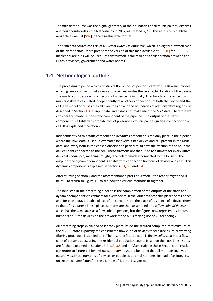The fifth data source was the digital geometry of the boundaries of all municipalities, districts and neighbourhoods in the Netherlands in 2017, as created by SN. This resource is publicly available as well at [\[SNe\]](#page-29-5) in the Esri shapefile format.

The sixth data source consists of a *Current Dutch Elevation* file, which is a digital elevation map of the Netherlands. More precisely, the version of this map available at  $[PDOK]$  for  $25 \times 25$ metres square tiles will be used. Its construction is the result of a collaboration between the Dutch provinces, government and water boards.

# <span id="page-6-0"></span>1.4 Methodological outline

The processing pipeline which constructs flow cubes of persons starts with a Bayesian model which, given a connection of a device to a cell, estimates the geographic location of the device. The model considers each connection of a device individually. Likelihoods of presence in a municipality are calculated independently of all other connections of both the device and the cell. The model only uses the cell plan, the grid and the boundaries of administrative regions, as described in Section [1.3,](#page-5-0) as input data, and it does not make use of the MNO data. Therefore we consider this model as the *static* component of the pipeline. The output of the static component is a table with probabilities of presence in municipalities given a connection to a cell. It is explained in Section [2.](#page-8-0)

Independently of this static component a *dynamic* component is the only place in the pipeline where the MNO data is used. It estimates for every Dutch device and cell present in the MNO data, and every hour in the chosen observation period of 30 days the fraction of the hour the device spent connected to the cell. These fractions are then used to estimate for every Dutch device its *home cell*, meaning (roughly) the cell to which it connected to the longest. The output of the dynamic component is a table with connection fractions of devices and cells. This dynamic component is explained in Sections [3.1,](#page-14-1) [3.3](#page-15-0) and [3.4.](#page-16-0)

After studying Section [2](#page-8-0) and the aforementioned parts of Section [3](#page-14-0) the reader might find it helpful to return to Figure [1.1](#page-7-0) to see how the various methods fit together.

The next step in the processing pipeline is the combination of the outputs of the static and dynamic components to estimate for every device in the MNO data probable places of residence and, for each hour, probable places of presence. (Here, the place of residence of a device refers to that of its owner.) These place estimates are then assembled into a *flow cube of devices*, which has the same axes as a flow cube of persons, but the figures now represent estimates of numbers of Dutch devices on the network of the MNO making use of 4G technology.

All processing steps explained so far took place inside the secured computer infrastructure of the MNO. Before exporting the constructed flow cube of devices to SN a disclosure preventing filtering procedure is applied to it. The resulting filtered cube is finally *calibrated* into a flow cube of persons at SN, using the residential population counts based on the PRD. These steps are further explained in Sections [3.2,](#page-14-2) [3.3,](#page-15-0) [3.5](#page-17-0) and [4.](#page-18-0) After studying those Sections the reader can return to Figure [1.1](#page-7-0) for a visual summary. It should be noted that all methods involved naturally estimate numbers of devices or people as decimal numbers, instead of as integers, unlike the column 'count' in the example of Table [1.1](#page-3-2) suggests.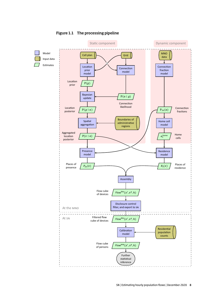

#### <span id="page-7-0"></span>Figure 1.1 The processing pipeline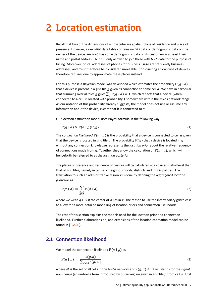# <span id="page-8-0"></span>2 Location estimation

Recall that two of the dimensions of a flow cube are spatial: place of residence and place of presence. However, a raw MNO data table contains no GPS data or demographic data on the owner of the device. An MNO has some demographic data on its customers – at least their name and postal address – but it is only allowed to join these with MNO data for the purpose of billing. Moreover, postal addresses of phones for business usage are frequently business addresses, and must therefore be considered unreliable. Constructing a flow cube of devices therefore requires one to approximate these places instead.

For this purpose a Bayesian model was developed which estimates the probability  $\mathbb{P}(q \mid a)$ that a device is present in a grid tile  $q$  given its connection to some cell  $a$ . We have in particular that summing over all tiles g gives  $\sum_a \mathbb{P}(g \mid a) = 1$ , which reflects that a device (when connected to a cell) is located with probability 1 somewhere within the MNOS network range. As our notation of this probability already suggests, the model does not use or assume any information about the device, except that it is connected to  $a$ .

Our location estimation model uses Bayes' formula in the following way:

<span id="page-8-3"></span>
$$
\mathbb{P}(g \mid a) \propto \mathbb{P}(a \mid g)\mathbb{P}(g). \tag{1}
$$

The *connection likelihood*  $\mathbb{P}(a | g)$  is the probability that a device is connected to cell a given that the device is located in grid tile g. The probability  $\mathbb{P}(g)$  that a device is located in g without any connection knowledge represents the *location prior* about the relative frequency of connections made from g. Together they allow the calculation of  $\mathbb{P}(q | a)$ , which will henceforth be referred to as the *location posterior*.

The places of presence and residence of devices will be calculated at a coarser spatial level than that of grid tiles, namely in terms of neighbourhoods, districts and municipalities. The translation to such an administrative region x is done by defining the *aggregated location posterior* as

$$
\mathbb{P}(x \mid a) := \sum_{g \in x} \mathbb{P}(g \mid a),\tag{2}
$$

where we write  $g \in x$  if the center of g lies in x. The reason to use the intermediary grid tiles is to allow for a more detailed modelling of location priors and connection likelihoods.

The rest of this section explains the models used for the location prior and connection likelihood. Further elaborations on, and extensions of the location estimation model can be found in [\[TGS20\]](#page-29-7).

# <span id="page-8-1"></span>2.1 Connection likelihood

We model the connection likelihood  $P(a | a)$  as

<span id="page-8-2"></span>
$$
\mathbb{P}(a \mid g) := \frac{s(g, a)}{\sum_{a' \in \mathcal{A}} s(g, a')} \tag{3}
$$

where A is the set of all cells in the MNOs network and  $s(g, a) \in [0, \infty)$  stands for the *signal dominance* (an umbrella term introduced by ourselves) received in grid tile *g* from cell *a*. That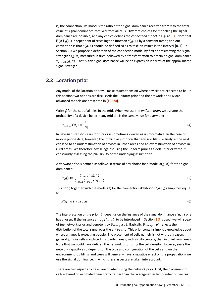is, the connection likelihood is the ratio of the signal dominance received from  $a$  to the total value of signal dominance received from all cells. Different choices for modelling the signal dominance are possible, and any choice defines the *connection model* in Figure [1.1.](#page-7-0) Note that  $P(a | g)$  is independent of rescaling the function  $s(g, a)$  by a constant factor, and our convention is that  $s(q, a)$  should be defined so as to take on values in the interval [0, 1]. In Section [2.3](#page-10-0) we propose a definition of the connection model by first approximating the signal strength  $S(g, a)$  measured in dBm, followed by a transformation to obtain a signal dominance  $S_{\text{strength}}(q, a)$ . That is, this signal dominance will be an expression in terms of the approximated signal strength.

# <span id="page-9-0"></span>2.2 Location prior

Any model of the location prior will make assumptions on where devices are expected to be. In this section two options are discussed: the uniform prior and the network prior. More advanced models are presented in [\[TGS20\]](#page-29-7).

Write  $G$  for the set of all tiles in the grid. When we use the *uniform prior*, we assume the probability of a device being in any grid tile is the same value for every tile:

$$
\mathbb{P}_{\text{uniform}}(g) := \frac{1}{|G|}.\tag{4}
$$

In Bayesian statistics a uniform prior is sometimes viewed as uninformative. In the case of mobile phone data, however, the implicit assumption that any grid tile is as likely as the next can lead to an underestimation of devices in urban areas and an overestimation of devices in rural areas. We therefore advise against using the uniform prior as a default prior without consciously assessing the plausibility of the underlying assumption.

A *network prior* is defined as follows in terms of any choice for a model  $s(g, a)$  for the signal dominance:

<span id="page-9-1"></span>
$$
\mathbb{P}(g) := \frac{\sum_{a \in \mathcal{A}} s(g, a)}{\sum_{a \in \mathcal{A}} \sum_{g' \in \mathcal{G}} s(g', a)}.
$$
\n<sup>(5)</sup>

This prior, together with the model [\(3\)](#page-8-2) for the connection likelihood  $\mathbb{P}(a | g)$  simplifies eq. [\(1\)](#page-8-3) to

$$
\mathbb{P}(g \mid a) \propto s(g, a). \tag{6}
$$

The interpretation of the prior [\(5\)](#page-9-1) depends on the instance of the signal dominance  $s(g, a)$  one has chosen. If the instance  $s_{\text{strength}}(g, a)$ , to be introduced in Section [2.3](#page-10-0) is used, we will speak of *the* network prior and denote it by  $\mathbb{P}_{\text{strength}}(g)$ . Basically,  $\mathbb{P}_{\text{strength}}(g)$  reflects the distribution of the total signal over the entire grid. This prior contains implicit knowledge about where an MNO is expecting people. The placement of cells namely is not without reason; generally, more cells are placed in crowded areas, such as city centers, than in quiet rural areas. Note that we could have defined the network prior using the cell density. However, since the network capacity also depends on the type and configuration of the cells and on the environment (buildings and trees will generally have a negative effect on the propagation) we use the signal dominance, in which these aspects are taken into account.

There are two aspects to be aware of when using the network prior. First, the placement of cells is based on estimated peak traffic rather than the average expected number of devices.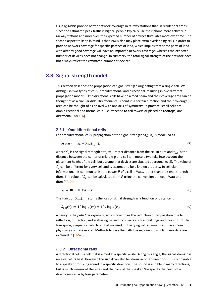Usually, MNOS provide better network coverage in railway stations than in residential areas, since the estimated peak traffic is higher; people typically use their phone more actively in railway stations and moreover, the expected number of devices fluctuates more over time. The second aspect to keep in mind is that MNOs also may place extra overlapping cells in order to provide network coverage for specific patches of land, which implies that some parts of land with already good coverage will have an improved network coverage, whereas the expected number of devices does not change. In summary, the total signal strength of the network does not always reflect the estimated number of devices.

# <span id="page-10-0"></span>2.3 Signal strength model

This section describes the propagation of signal strength originating from a single cell. We distinguish two types of cells: omnidirectional and directional, resulting in two different propagation models. Omnidirectional cells have no aimed beam and their coverage area can be thought of as a circular disk. Directional cells point in a certain direction and their coverage area can be thought of as an oval with one axis of symmetry. In practice, small cells are omnidirectional and normal cells (i.e. attached to cell towers or placed on rooftops) are directional [\[Kor+16\]](#page-29-8).

#### 2.3.1 Omnidirectional cells

For omnidirectional cells, propagation of the signal strength  $S(g, a)$  is modelled as

$$
S(g,a) := S_0 - S_{\text{dist}}(r_{g,a}),\tag{7}
$$

where  $S_0$  is the signal strength at  $r_0 = 1$  meter distance from the cell in dBm and  $r_{g,a}$  is the distance between the center of grid tile  $g$  and cell  $a$  in meters (we take into account the placement height of the cell, but assume that devices are situated at ground level). The value of  $S_0$  can be different for every cell and is assumed to be a known property. In cell plan information, it is common to list the power  $P$  of a cell in Watt, rather than the signal strength in dBm. The value of  $S_0$  can be calculated from P using the conversion between Watt and dBm [\[FF10\]](#page-29-9):

<span id="page-10-1"></span>
$$
S_0 = 30 + 10 \log_{10}(P). \tag{8}
$$

The function  $S_{dist}(r)$  returns the loss of signal strength as a function of distance r:

$$
S_{\text{dist}}(r) := 10 \log_{10}(r^{\gamma}) = 10\gamma \log_{10}(r),\tag{9}
$$

where  $\gamma$  is the *path loss exponent*, which resembles the reduction of propagation due to reflection, diffraction and scattering caused by objects such as buildings and trees [\[SH09\]](#page-29-10). In free space,  $\gamma$  equals 2, which is what we used, but varying values would result in a more physically accurate model. Methods to vary the path loss exponent using land use data are explored in [\[TGS20\]](#page-29-7).

#### 2.3.2 Directional cells

A directional cell is a cell that is aimed at a specific angle. Along this angle, the signal strength is received at its best. However, the signal can also be strong in other directions. It is comparable to a speaker producing sound in a specific direction. The sound is audible in many directions, but is much weaker at the sides and the back of the speaker. We specify the beam of a directional cell  $a$  by four parameters: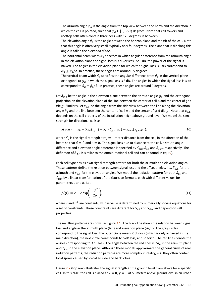- The azimuth angle  $\varphi_a$  is the angle from the top view between the north and the direction in which the cell is pointed, such that  $\varphi_a \in [0, 360)$  degrees. Note that cell towers and rooftop cells often contain three cells with 120 degrees in between.
- The elevation angle  $\theta_a$  is the angle between the horizon plane and the tilt of the cell. Note that this angle is often very small, typically only four degrees. The plane that is tilt along this angle is called the *elevation plane*.
- The horizontal beam width  $\alpha_a$  specifies in which angular difference from the azimuth angle in the elevation plane the signal loss is 3 dB or less. At 3 dB, the power of the signal is halved. The angles in the elevation plane for which the signal loss is 3 dB correspond to  $\varphi_a \pm \alpha_a/2$ . In practice, these angles are around 65 degrees.
- The vertical beam width  $\beta_a$  specifies the angular difference from  $\theta_a$  in the vertical plane orthogonal to  $\varphi_a$  in which the signal loss is 3 dB. The angles in which the signal loss is 3 dB correspond to  $\theta_a \pm \beta_a/2$ . In practice, these angles are around 9 degrees.

Let  $\delta_{q,a}$  be the angle in the elevation plane between the azimuth angle  $\varphi_a$  and the orthogonal projection on the elevation plane of the line between the center of cell  $a$  and the center of grid tile g. Similarly, let  $\varepsilon_{a,a}$  be the angle from the side view between the line along the elevation angle  $\theta_a$  and the line between the center of cell a and the center of grid tile g. Note that  $\varepsilon_{a,a}$ depends on the cell property of the installation height above ground level. We model the signal strength for directional cells as

$$
S(g, a) := S_0 - S_{\text{dist}}(r_{g,a}) - S_{\text{azi}}(\delta_{g,a}, \alpha_a) - S_{\text{elev}}(\varepsilon_{g,a}, \beta_a),\tag{10}
$$

where  $S_0$  is the signal strength at  $r_0 = 1$  meter distance from the cell, in the direction of the beam so that  $\delta = 0$  and  $\varepsilon = 0$ . The signal loss due to distance to the cell, azimuth angle difference and elevation angle difference is specified by  $S_{\text{dist}}$ ,  $S_{\text{azi}}$  and  $S_{\text{elev}}$ , respectively. The definition of  $S_{\text{dist}}$  is similar to the omnidirectional cell and can be found in eq. [\(9\)](#page-10-1).

Each cell type has its own signal strength pattern for both the azimuth and elevation angles. These patterns define the relation between signal loss and the offset angles, i.e.,  $\delta_{q,a}$  for the azimuth and  $\varepsilon_{g,a}$  for the elevation angles. We model the radiation pattern for both  $S_{\text{azi}}$  and  $S<sub>elev</sub>$  by a linear transformation of the Gaussian formula, each with different values for parameters  $c$  and  $\sigma$ . Let

$$
f(\varphi) := c - c \exp\left(-\frac{\varphi^2}{2\sigma^2}\right),\tag{11}
$$

where c and  $\sigma^2$  are constants, whose value is determined by numerically solving equations for a set of constraints. These constraints are different for  $S_{\text{azi}}$  and  $S_{\text{elev}}$  and depend on cell properties.

The resulting patterns are shown in Figure [2.1.](#page-12-0) The black line shows the relation between signal loss and angle in the azimuth plane (left) and elevation plane (right). The grey circles correspond to the signal loss; the outer circle means 0 dB loss (which is only achieved in the main direction), the next circle corresponds to 5 dB loss, and so forth. The red lines denote the angles corresponding to 3 dB loss. The angle between the red lines is  $2\alpha_a$  in the azimuth plane and  $2\beta_a$  in the elevation plane. Although these models approximate the general curve of real radiation patterns, the radiation patterns are more complex in reality, e.g. they often contain local spikes caused by so-called side and back lobes.

Figure [2.2](#page-12-1) (top row) illustrates the signal strength at the ground level from above for a specific cell. In this case, the cell is placed at  $x = 0$ ,  $y = 0$  at 55 meters above ground level in an urban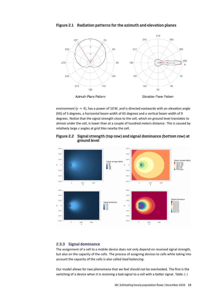<span id="page-12-0"></span>



environment ( $\gamma = 4$ ), has a power of 10 W, and is directed eastwards with an elevation angle (tilt) of 5 degrees, a horizontal beam width of 65 degrees and a vertical beam width of 9 degrees. Notice that the signal strength close to the cell, which on ground level translates to almost under the cell, is lower than at a couple of hundred meters distance. This is caused by relatively large  $\varepsilon$  angles at grid tiles nearby the cell.



#### <span id="page-12-1"></span>Figure 2.2 Signal strength (top row) and signal dominance (bottom row) at ground level

#### 2.3.3 Signal dominance

The assignment of a cell to a mobile device does not only depend on received signal strength, but also on the capacity of the cells. The process of assigning devices to cells while taking into account the capacity of the cells is also called *load balancing*.

Our model allows for two phenomena that we feel should not be overlooked. The first is the switching of a device when it is receiving a bad signal to a cell with a better signal. Table [2.1](#page-13-0)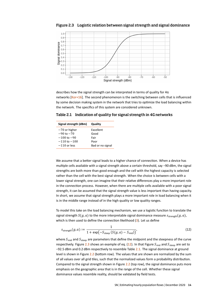

<span id="page-13-1"></span>Figure 2.3 Logistic relation between signal strength and signal dominance

describes how the signal strength can be interpreted in terms of quality for 4G networks [\[Kor+16\]](#page-29-8). The second phenomenon is the switching between cells that is influenced by some decision making system in the network that tries to optimize the load balancing within the network. The specifics of this system are considered unknown.

<span id="page-13-0"></span>Table 2.1 Indication of quality for signal strength in 4G networks

| Signal strength (dBm) | Quality          |  |  |
|-----------------------|------------------|--|--|
| $-70$ or higher       | Excellent        |  |  |
| $-90$ to $-70$        | Good             |  |  |
| $-100$ to $-90$       | Fair             |  |  |
| $-110$ to $-100$      | Poor             |  |  |
| $-110$ or less        | Bad or no signal |  |  |

We assume that a better signal leads to a higher chance of connection. When a device has multiple cells available with a signal strength above a certain threshold, say −90 dBm, the signal strengths are both more than good enough and the cell with the highest capacity is selected rather than the cell with the best signal strength. When the choice is between cells with a lower signal strength, one can imagine that their relative differences play a more important role in the connection process. However, when there are multiple cells available with a poor signal strength, it can be assumed that the signal strength value is less important than having capacity. In short, we assume that signal strength plays a more important role in load balancing when it is in the middle range instead of in the high quality or low quality ranges.

To model this take on the load balancing mechanism, we use a logistic function to translate the signal strength  $S(g, a)$  to the more interpretable signal dominance measure  $s_{\text{strength}}(g, a)$ , which is then used to define the connection likelihood  $(3)$ . Let us define

<span id="page-13-2"></span>
$$
S_{\text{strength}}(g, a) := \frac{1}{1 + \exp(-S_{\text{steep}}(S(g, a) - S_{\text{mid}}))},\tag{12}
$$

where  $S_{\text{mid}}$  and  $S_{\text{step}}$  are parameters that define the midpoint and the steepness of the curve respectively. Figure [2.3](#page-13-1) shows an example of eq. [\(12\)](#page-13-2). In that Figure  $S_{mid}$  and  $S_{\text{step}}$  are set to −92.5 dBm and 0.2 dBm respectively to resemble Table [2.1.](#page-13-0) The signal dominance at ground level is shown in Figure [2.2](#page-12-1) (bottom row). The values that are shown are normalized by the sum of all values over all grid tiles, such that the normalized values form a probability distribution. Compared to the signal strength shown in Figure [2.2](#page-12-1) (top row), the signal dominance puts more emphasis on the geographic area that is in the range of the cell. Whether these signal dominance values resemble reality, should be validated by field tests.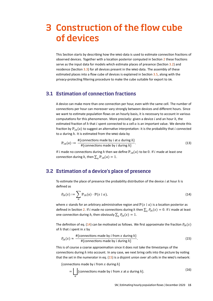# <span id="page-14-0"></span>3 Construction of the flow cube of devices

This Section starts by describing how the MNO data is used to estimate connection fractions of observed devices. Together with a location posterior computed in Section [2](#page-8-0) these fractions serve as the input data for models which estimate places of presence (Section [3.2\)](#page-14-2) and residence (Section  $3.3$ ) for all devices present in the MNO data. The assembly of these estimated places into a flow cube of devices is explained in Section [3.5,](#page-17-0) along with the privacy-protecting filtering procedure to make the cube suitable for export to SN.

# <span id="page-14-1"></span>3.1 Estimation of connection fractions

A device can make more than one connection per hour, even with the same cell. The number of connections per hour can moreover vary strongly between devices and different hours. Since we want to estimate population flows on an hourly basis, it is necessary to account in various computations for this phenomenon. More precisely: given a device  $i$  and an hour  $h$ , the estimated fraction of  $h$  that  $i$  spent connected to a cell  $a$  is an important value. We denote this fraction by  $\mathbb{P}_{ih}(a)$  to suggest an alternative interpretation: it is the probability that *i* connected to  $a$  during  $h$ . It is estimated from the MNO data by

$$
\mathbb{P}_{ih}(a) := \frac{\#\{\text{connections made by } i \text{ at } a \text{ during } h\}}{\#\{\text{connections made by } i \text{ during } h\}}.
$$
\n(13)

If *i* made no connections during *h* then we define  $\mathbb{P}_{ih}(a)$  to be 0. If *i* made at least one connection during *h*, then  $\sum_a \mathbb{P}_{ih}(a) = 1$ .

# <span id="page-14-2"></span>3.2 Estimation of a device's place of presence

To estimate the place of presence the probability distribution of the device  $i$  at hour  $h$  is defined as

<span id="page-14-3"></span>
$$
P_{ih}(x) := \sum_{a} \mathbb{P}_{ih}(a) \cdot \mathbb{P}(x \mid a), \qquad (14)
$$

where x stands for an arbitrary administrative region and  $\mathbb{P}(x | a)$  is a location posterior as defined in Section [2.](#page-8-0) If i made no connections during h then  $\sum_{x} P_{ih}(x) = 0$ . If i made at least one connection during h, then obviously  $\sum_{x} P_{ih}(x) = 1$ .

The definition of eq. [\(14\)](#page-14-3) can be motivated as follows. We first approximate the fraction  $P_{ih}(x)$ of  $h$  that  $i$  spent in  $x$  by

<span id="page-14-4"></span>
$$
P_{ih}(x) \approx \frac{\#{\text{connections made by } i \text{ from } x \text{ during } h\}}{\#{\text{connections made by } i \text{ during } h\}}.
$$
\n(15)

This is of course a coarse approximation since it does not take the timestamps of the connections during  $h$  into account. In any case, we next bring cells into the picture by noting that the set in the numerator in eq.  $(15)$  is a disjoint union over all cells in the MNO's network:

{connections made by *i* from *x* during  $h$ }

$$
= \bigsqcup_{a} \{ \text{connections made by } i \text{ from } x \text{ at } a \text{ during } h \}. \tag{16}
$$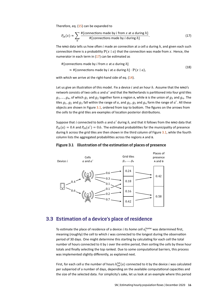Therefore, eq. [\(15\)](#page-14-4) can be expanded to

<span id="page-15-1"></span>
$$
P_{ih}(x) \approx \sum_{a} \frac{\#\{\text{connections made by } i \text{ from } x \text{ at } a \text{ during } h\}}{\#\{\text{connections made by } i \text{ during } h\}}.
$$
 (17)

The MNO data tells us how often  $i$  made an connection at a cell  $a$  during  $h$ , and given each such connection there is a probability  $\mathbb{P}(x \mid a)$  that the connection was made from x. Hence, the numerator in each term in  $(17)$  can be estimated as

#{connections made by *i* from x at a during  $h$ } (18)

 $\approx$  #{connections made by *i* at *a* during  $h$ } ·  $\mathbb{P}(x \mid a)$ ,

with which we arrive at the right-hand side of eq.  $(14)$ .

Let us give an illustration of this model. Fix a device  $i$  and an hour  $h$ . Assume that the MNO's network consists of two cells  $a$  and  $a'$  and that the Netherlands is partitioned into four grid tiles  $g_1, ..., g_4$ , of which  $g_1$  and  $g_2$  together form a region A, while B is the union of  $g_3$  and  $g_4$ . The tiles  $g_1$ ,  $g_2$  and  $g_3$  fall within the range of  $a$ , and  $g_2$ ,  $g_3$  and  $g_4$  form the range of  $a'$ . All these objects are shown in Figure [3.1,](#page-15-2) ordered from top to bottom. The figures on the arrows from the cells to the grid tiles are examples of location posterior distributions.

Suppose that i connected to both  $a$  and  $a'$  during  $h$ , and that it follows from the MNO data that  $P_{ih}(a) = 0.4$  and  $P_{ih}(a') = 0.6$ . The estimated probabilities for the municipality of presence during  $h$  across the grid tiles are then shown in the third column of Figure [3.1,](#page-15-2) while the fourth column lists the aggregated probabilities across the regions A and B.

#### <span id="page-15-2"></span>Figure 3.1 Illustration of the estimation of places of presence



# <span id="page-15-0"></span>3.3 Estimation of a device's place of residence

To estimate the place of residence of a device *i* its *home cell*  $a_i^{\text{home}}$  was determined first, meaning (roughly) the cell to which  $i$  was connected to the longest during the observation period of 30 days. One might determine this starting by calculating for each cell the total number of hours connected to it by *i* over the entire period, then sorting the cells by these hour totals and finally selecting the top ranked. Due to some computational barriers, this process was implemented slightly differently, as explained next.

First, for each cell  $a$  the number of hours  $h_{iw}^{tot}(a)$  connected to it by the device  $i$  was calculated per subperiod of a number of days, depending on the available computational capacities and the size of the selected data. For simplicity's sake, let us look at an example where this period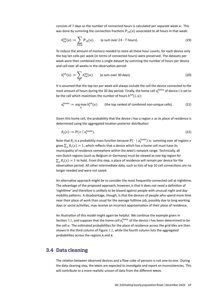consists of 7 days so the number of connected hours is calculated per separate week  $w$ . This was done by summing the connection fractions  $\mathbb{P}_{ih}(a)$  associated to all hours in that week:

$$
h_{iw}^{\text{tot}}(a) := \sum_{h \in w} \mathbb{P}_{ih}(a) \qquad \text{(a sum over } 24 \cdot 7 \text{ hours).} \tag{19}
$$

To reduce the amount of memory needed to store all these hour counts, for each device only the top ten cells per week (in terms of connected hours) were preserved. The datasets per week were then combined into a single dataset by summing the number of hours per device and cell over all weeks in the observation period:

$$
h_i^{\text{tot}}(a) := \sum_{w} h_{iw}^{\text{tot}}(a) \qquad \text{(a sum over 30 days).} \tag{20}
$$

It is assumed that the top ten per week will always include the cell the device connected to the most amount of hours during the 30 day period. Finally, the home cell  $a_l^{\text{home}}$  of device  $i$  is set to be the cell which maximises the number of hours  $h^{\text{tot}}(i,a)$ :

$$
a_i^{\text{home}} := \underset{a}{\text{arg max}} \, h_i^{\text{tot}}(a) \qquad \text{(the top ranked of combined non-unique cells)}.
$$
 (21)

Given this home cell, the probability that the device  $i$  has a region  $x$  as its place of residence is determined using the aggregated location posterior distribution:

$$
R_i(x) := \mathbb{P}(x \mid a_i^{\text{home}}). \tag{22}
$$

Note that  $R_i$  is a probability mass function because  $\mathbb{P}(\,\cdot\mid a^{\mathsf{home}}_i)$  is: summing over all regions  $x$ gives  $\sum_{x} R_i(x) = 1$ , which reflects that a device which has a home cell must have its municipality of residence somewhere within the MNO's network range. Technically, all non-Dutch regions (such as Belgium or Germany) must be viewed as one big region for  $\sum_{\chi} R_i(x) = 1$  to hold. From this step, a place of residence will remain per device for the observation period. All other intermediate data, such as lists of top 10 cell connections are no longer needed and were not saved.

An alternative approach might be to consider the most frequently connected cell at nighttime. The advantage of the proposed approach, however, is that it does not need a definition of 'nighttime' and therefore is unlikely to be biased against people with unusual night and day mobility patterns. A disadvantage, though, is that the devices of people who spend more time near their place of work than usual for the average fulltime job, possibly due to long working days or social activities, may receive an incorrect approximation of their place of residence.

An illustration of this model might again be helpful. We continue the example given in Section [3.2,](#page-14-2) and suppose that the home cell  $a_l^{\text{home}}$  of the device  $i$  has been determined to be the cell  $a$ . The estimated probabilities for the place of residence across the grid tiles are then shown in the third column of Figure [3.2,](#page-17-1) while the fourth column lists the aggregated probabilities across the regions A and B.

# <span id="page-16-0"></span>3.4 Data cleaning

The relation between observed devices and a flow cube of persons is not one-to-one. During the data cleaning step, the MNOs are expected to investigate and report on inconsistencies. This will contribute to a more realistic unison of data from the different MNOS.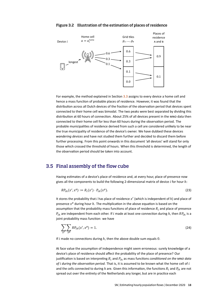

#### <span id="page-17-1"></span>Figure 3.2 Illustration of the estimation of places of residence

For example, the method explained in Section [3.3](#page-15-0) assigns to every device a home cell and hence a mass function of probable places of residence. However, it was found that the distribution across all Dutch devices of the fraction of the observation period that devices spent connected to their home cell was bimodal. The two peaks were best separated by dividing this distribution at 60 hours of connection. About 25% of all devices present in the MNO data then connected to their home cell for less than 60 hours during the observation period. The probable municipalities of residence derived from such a cell are considered unlikely to be near the true municipality of residence of the device's owner. We have dubbed these devices *wandering devices* and have not studied them further and decided to discard them before further processing. From this point onwards in this document 'all devices' will stand for only those which crossed the threshold of hours. When this threshold is determined, the length of the observation period should be taken into account.

### <span id="page-17-0"></span>3.5 Final assembly of the flow cube

Having estimates of a device's place of residence and, at every hour, place of presence now gives all the components to build the following 2-dimensional matrix of device  $i$  for hour  $h$ :

$$
RP_{ih}(x^r, x^p) := R_i(x^r) \cdot P_{ih}(x^p). \tag{23}
$$

It stores the probability that i has place of residence  $x^r$  (which is independent of h) and place of presence  $x^p$  during hour  $h$ . The multiplication in the above equation is based on the assumption that the probability mass functions of place of residence  $R_i$  and place of presence  $P_{ih}$  are independent from each other. If i made at least one connection during h, then  $RP_{ih}$  is a joint probability mass function: we have

$$
\sum_{x^r} \sum_{x^p} R P_{ih}(x^r, x^p) = 1. \tag{24}
$$

If  $i$  made no connections during  $h$ , then the above double sum equals 0.

At face value the assumption of independence might seem erroneous: surely knowledge of a device's place of residence should affect the probability of the place of presence? Our justification is based on interpreting  $R_i$  and  $P_{ih}$  as mass functions *conditioned on the MNO data of during the observation period*. That is, it is assumed to be known what the home cell of and the cells connected to during h are. Given this information, the functions  $R_i$  and  $P_i$  are not spread out over the entirety of the Netherlands any longer, but are in practice each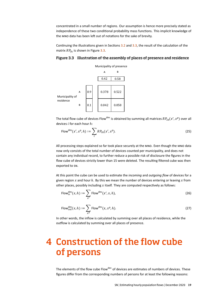concentrated in a small number of regions. Our assumption is hence more precisely stated as independence of these two conditional probability mass functions. This implicit knowledge of the MNO data has been left out of notations for the sake of brevity.

Continuing the illustrations given in Sections [3.2](#page-14-2) and [3.3,](#page-15-0) the result of the calculation of the matrix  $RP_{ih}$  is shown in Figure [3.3.](#page-18-1)

#### <span id="page-18-1"></span>Figure 3.3 Illustration of the assembly of places of presence and residence



The total flow cube of devices Flow<sup>dev</sup> is obtained by summing all matrices  $RP_{ih}(x^r, x^p)$  over all devices  $i$  for each hour  $h$ :

Flow<sup>dev</sup>
$$
(x^r, x^p, h) := \sum_i RP_{ih}(x^r, x^p).
$$
 (25)

All processing steps explained so far took place securely at the MNO. Even though the MNO data now only consists of the total number of devices counted per municipality, and does not contain any individual record, to further reduce a possible risk of disclosure the figures in the flow cube of devices strictly lower than 15 were deleted. The resulting filtered cube was then exported to SN.

At this point the cube can be used to estimate the *incoming* and *outgoing flow* of devices for a given region  $x$  and hour  $h$ . By this we mean the number of devices entering or leaving  $x$  from other places, possibly including  $x$  itself. They are computed respectively as follows:

Flow<sup>dev</sup><sub>in</sub>
$$
(x, h) := \sum_{x^r} \text{Flow}^{\text{dev}}(x^r, x, h),
$$
 (26)

Flow<sup>dev</sup><sub>out</sub>
$$
(x, h) := \sum_{x^p} \text{Flow}^{\text{dev}}(x, x^p, h).
$$
 (27)

In other words, the inflow is calculated by summing over all places of residence, while the outflow is calculated by summing over all places of presence.

# <span id="page-18-0"></span>4 Construction of the flow cube of persons

The elements of the flow cube Flow<sup>dev</sup> of devices are estimates of numbers of devices. These figures differ from the corresponding numbers of persons for at least the following reasons: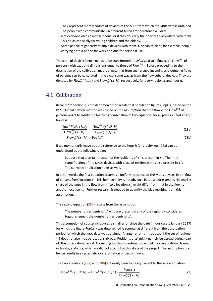- $-$  They represent merely counts of devices of the MNO from which the MNO data is obtained. The people who communicate via different MNOS are therefore excluded.
- Not everyone owns a mobile phone, or if they do, carry their devices everywhere with them. This holds especially for young children and the elderly.
- Some people might carry multiple devices with them. One can think of, for example, people carrying both a phone for work and one for personal use.

The cube of devices hence needs to be transformed or *calibrated* to a flow cube Flow<sup>pop</sup> of persons (with axes and dimensions equal to those of Flow<sup>dev</sup>). Before proceeding to the description of the calibration method, note that from such a cube incoming and outgoing flows of persons can be calculated in the exact same way as from the flow cube of devices. They are denoted by Flow $_{\text{in}}^{\text{pop}}(x, h)$  and Flow $_{\text{out}}^{\text{pop}}(x, h)$ , respectively, for every region  $x$  and hour  $h$ .

# <span id="page-19-0"></span>4.1 Calibration

Recall from Section [1.3](#page-5-0) the definition of the residential population figures Pop $(\cdot)$ , based on the PRD. Our calibration method was based on the assumption that the flow cube Flow<sup>pop</sup> of persons ought to satisfy the following combination of two equations for all places  $x^r$  and  $x^p$  and hours  $h$ :

$$
\frac{\text{Flow}^{\text{pop}}(x^r, x^p, h)}{\text{Flow}^{\text{pop}}_{\text{out}}(x^r, h)} = \frac{\text{Flow}^{\text{dev}}(x^r, x^p, h)}{\text{Flow}^{\text{dev}}_{\text{out}}(x^r, h)},
$$
(28a)

<span id="page-19-2"></span><span id="page-19-1"></span>Flow<sub>out</sub><sup>pop</sup>
$$
(x^r, h)
$$
 = Pop $(x^r)$ . (28b)

If we momentarily leave out the reference to the hour  $h$  for brevity, eq. [\(28a\)](#page-19-1) can be understood as the following claim:

Suppose that a certain fraction of the residents of  $x^r$  is present in  $x^p$ . Then the same fraction of the MNOs devices with place of residence  $x^r$  is also present in  $x^p$ . The converse implication holds as well.

In other words, the first equation assumes a uniform presence of the MNOS devices in the flow of persons from location  $x^r$ . This homogeneity is not obvious, because, for example, the market share of the MNO in the flow from  $x^{\mathsf{r}}$  to a location  $x_1^{\mathsf{p}}$  might differ from that in the flow to another location  $x_2^{\mathrm{p}}$ . Further research is needed to quantify the bias resulting from this assumption.

The second equation [\(28b\)](#page-19-2) results from the assumption

The number of residents of  $x^r$  who are present in any of the regions x considered together equals the number of residents of  $x^r$ .

This assumption of course introduces a small error since the date (in our case 1 January 2017) for which the figure Pop $(x^r)$  was determined is somewhat different from the observation period for which the MNO data was obtained. A larger error is introduced if the set of regions  ${x}$  does not also include locations abroad. Residents of  ${x}^r$  might namely be abroad during (part of) the observation period. Correcting for this misestimation would involve additional tourism or holiday statistics, which we did not attempt at this stage of the project. The assumption used hence results in a systematic overestimation of person flows.

The two equations  $(28a)$  and  $(28b)$  are easily seen to be equivalent to the single equation

Flow<sup>pop</sup>(
$$
x^r, x^p, h
$$
) = Flow<sup>dev</sup>( $x^r, x^p, h$ )  $\cdot \frac{Pop(x^r)}{Flow_{out}^{dev}(x^r, h)}$ . (29)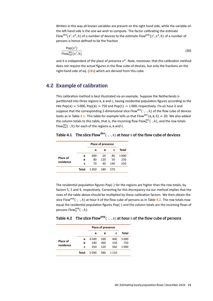Written in this way all known variables are present on the right hand side, while the variable on the left hand side is the one we wish to compute. The factor calibrating the estimate Flow<sup>dev</sup>(x<sup>r</sup>, x<sup>p</sup>, h) of a number of devices to the estimate Flow<sup>pop</sup>(x<sup>r</sup>, x<sup>p</sup>, h) of a number of persons is hence defined to be the fraction

$$
\frac{\text{Pop}(x^r)}{\text{Flow}_{\text{out}}^{\text{dev}}(x^r, h)}
$$
(30)

and it is independent of the place of presence  $x^p$ . Note, moreover, that this calibration method does not require the actual figures in the flow cube of devices, but only the fractions on the right-hand side of eq. [\(28a\)](#page-19-1) which are derived from this cube.

# <span id="page-20-0"></span>4.2 Example of calibration

This calibration method is best illustrated via an example. Suppose the Netherlands is partitioned into three regions A, B and C, having residential population figures according to the PRD Pop(A) = 5 000, Pop(B) = 750 and Pop(c) = 1 000, respectively. Fix an hour h and suppose that the corresponding 2-dimensional slice Flow<sup>dev</sup>( ·, ·, h) of the flow cube of devices looks as in Table [4.1.](#page-20-1) This table for example tells us that Flow<sup>dev</sup>(A, B, h) = 20. We also added the column totals to this table, that is, the incoming flow Flow $_{\sf in}^{\sf dev}(\,\cdot,h)$ , and the row totals Flow $_{\text{out}}^{\text{dev}}(\cdot, h)$  for each of the regions A, B and C.

<span id="page-20-1"></span>Table 4.1 The slice Flow  ${\mathsf{dev}}(\cdot, \cdot, h)$  at hour  $h$  of the flow cube of devices

|           |       | <b>Place of presence</b> |     |     |       |
|-----------|-------|--------------------------|-----|-----|-------|
|           |       | А                        | в   | c   | Total |
|           | A     | 900                      | 20  | 80  | 1 000 |
| Place of  | в     | 80                       | 120 | 50  | 250   |
| residence | C     | 70                       | 40  | 140 | 250   |
|           | Total | 1050                     | 180 | 270 |       |

The residential population figures  $Pop(\cdot)$  for the regions are higher than the row totals, by factors 5, 3 and 4, respectively. Correcting for this discrepancy via our method implies that the rows of the table above should be multiplied by these calibration factors. We then obtain the slice Flow<sup>pop</sup>( ·, ·, h) at hour h of the flow cube of persons as in Table [4.2.](#page-20-2) The row totals now equal the residential population figures Pop(·) and the column totals are the incoming flows of persons Flow $_{\text{in}}^{\text{pop}}(\cdot, h)$ .

#### <span id="page-20-2"></span>Table 4.2 The slice Flow<sup>pop</sup>( $\cdot$ ,  $\cdot$ , h) at hour h of the flow cube of persons

|                       |       | <b>Place of presence</b> |     |      |       |
|-----------------------|-------|--------------------------|-----|------|-------|
|                       |       | А                        | в   | c    | Total |
| Place of<br>residence | A     | 4500                     | 100 | 400  | 5 000 |
|                       | в     | 240                      | 360 | 150  | 750   |
|                       | c     | 350                      | 120 | 560  | 1 000 |
|                       | Total | 5090                     | 580 | 1110 |       |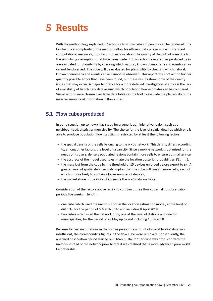# <span id="page-21-0"></span>5 Results

With the methodology explained in Sections [2](#page-8-0) to [4](#page-18-0) flow cubes of persons can be produced. The low technical complexity of the methods allow for efficient data processing with standard computational resources, but obvious questions about the quality of the output arise due to the simplifying assumptions that have been made. In this section several cubes produced by SN are evaluated for plausibility by checking which natural, known phenomena and events can or cannot be observed. The cube will be evaluated for plausibility by checking which natural, known phenomena and events can or cannot be observed. This report does not aim to further quantify possible errors that have been found, but these results show some of the quality issues that may occur. A major hindrance for a more detailed investigation of errors is the lack of availability of benchmark data against which population flow estimates can be compared. Visualisations were chosen over large data tables as the tool to evaluate the plausibility of the massive amounts of information in flow cubes.

# <span id="page-21-1"></span>5.1 Flow cubes produced

In our discussion up to now  $x$  has stood for a generic administrative region, such as a neighbourhood, district or municipality. The choice for the level of spatial detail at which one is able to produce population flow statistics is restricted by at least the following factors:

- $-$  the spatial density of the cells belonging to the MNOs network. This density differs according to, among other factors, the level of urbanicity. Since a mobile network is optimised for the needs of its users, densely populated regions contain more cells to ensure optimal service,
- the accuracy of the model used to estimate the location posterior probabilities  $\mathbb{P}(q \mid a)$ ,
- the mass lost from the cube by the threshold of 15 devices enforced before export to SN. A greater level of spatial detail namely implies that the cube will contain more cells, each of which is more likely to contain a lower number of devices,
- $-$  the market share of the MNO which made the MNO data available.

Consideration of the factors above led SN to construct three flow cubes, all for observation periods five weeks in length:

- one cube which used the uniform prior in the location estimation model, at the level of districts, for the period of 5 March up to and including 8 April 2018,
- two cubes which used the network prior, one at the level of districts and one for municipalities, for the period of 28 May up to and including 1 July 2018.

Because for certain durations in the former period the amount of available MNO data was insufficient, the corresponding figures in the flow cube were removed. Consequently, the analysed observation period started on 8 March. The former cube was produced with the uniform instead of the network prior before it was realised that a more advanced prior might be preferable.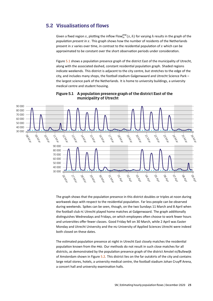# <span id="page-22-0"></span>5.2 Visualisations of flows

Given a fixed region x, plotting the inflow Flow $_{\text{in}}^{\text{pop}}(x, h)$  for varying  $h$  results in the graph of the *population present in x.* This graph shows how the number of residents of the Netherlands present in  $x$  varies over time, in contrast to the residential population of  $x$  which can be approximated to be constant over the short observation periods under consideration.

Figure [5.1](#page-22-1) shows a population presence graph of the district East of the municipality of Utrecht. along with the associated dashed, constant residential population graph. Shaded regions indicate weekends. This district is adjacent to the city centre, but stretches to the edge of the city, and includes many shops, the football stadium Galgenwaard and Utrecht Science Park – the largest science park of the Netherlands. It is home to university buildings, a university medical centre and student housing.



<span id="page-22-1"></span>Figure 5.1 A population presence graph of the district East of the municipality of Utrecht

The graph shows that the population presence in this district doubles or triples at noon during workweek days with respect to the residential population. Far less people can be observed during weekends. Spikes can be seen, though, on the two Sundays 11 March and 8 April when the football club FC Utrecht played home matches at Galgenwaard. The graph additionally distinguishes Wednesdays and Fridays, on which employees often choose to work fewer hours and universities offer fewer classes. Good Friday fell on 30 March, while 2 April was Easter Monday and Utrecht University and the HU University of Applied Sciences Utrecht were indeed both closed on these dates.

The estimated population presence at night in Utrecht East closely matches the residential population known from the PRD. Our methods do not result in such close matches for all districts, as demonstrated by the population presence graph of the district Amstel III/Bullewijk of Amsterdam shown in Figure [5.2.](#page-23-0) This district lies on the far outskirts of the city and contains large retail stores, hotels, a university medical centre, the football stadium Johan Cruyff Arena, a concert hall and university examination halls.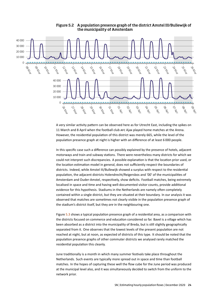

<span id="page-23-0"></span>Figure 5.2 A population presence graph of the district Amstel III/Bullewijk of the municipality of Amsterdam

A very similar activity pattern can be observed here as for Utrecht East, including the spikes on 11 March and 8 April when the football club AFC Ajax played home matches at the Arena. However, the residential population of this district was merely 665, while the level of the population presence graph at night is higher with an difference of at least 6 000 people.

In this specific case such a difference can possibly explained by the presence of hotels, adjacent motorways and train and subway stations. There were nevertheless many districts for which we could not interpret such discrepancies. A possible explanation is that the location prior used, or the location estimation model in general, does not sufficiently respect the boundaries of districts. Indeed, while Amstel III/Bullewijk showed a surplus with respect to the residential population, the adjacent districts Holendrecht/Reigersbos and '00' of the municipalities of Amsterdam and Ouder-Amstel, respectively, show deficits. Football matches, being extremely localised in space and time and having well-documented visitor counts, provide additional evidence for this hypothesis. Stadiums in the Netherlands are namely often completely contained within a single district, but they are situated at their boundary. In our analysis it was observed that matches are sometimes not clearly visible in the population presence graph of the stadium's district itself, but they *are* in the neighbouring one.

Figure [5.3](#page-24-0) shows a typical population presence graph of a residential area, as a comparison with the districts focused on commerce and education considered so far. Bavel is a village which has been absorbed as a district into the municipality of Breda, but is still slightly geographically separated from it. One observes that the lowest levels of the present population are not reached at night, but at noon, as expected of districts of this type. It should be noted that the population presence graphs of other commuter districts we analysed rarely matched the residential population this cleanly.

June traditionally is a month in which many summer festivals take place throughout the Netherlands. Such events are typically more spread out in space and time than football matches. In the hopes of capturing these well the flow cube for the June period was produced at the municipal level also, and it was simultaneously decided to switch from the uniform to the network prior.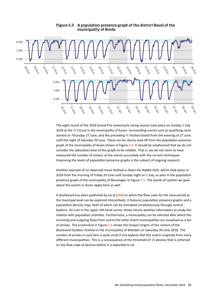

<span id="page-24-0"></span>Figure 5.3 A population presence graph of the district Bavel of the municipality of Breda

The eight round of the 2018 Grand Prix motorcycle racing season took place on Sunday 1 July 2018 at the TT Circuit in the municipality of Assen. Surrounding events such as qualifying races started on Thursday 27 June, and the preceding TT Festival lasted from the evening of 27 June until the night of Saturday 30 June. These can be clearly read off from the population presence graph of the municipality of Assen shown in Figure [5.4.](#page-25-0) It should be emphasised that we do not consider the (absolute) level of this graph to be reliable. That is, we do not claim to have measured the number of visitors at the events accurately with the current techniques. Improving the levels of population presence graphs is the subject of ongoing research.

Another example of an observed music festival is *Down the Rabbit Hole*, which took place in 2018 from the morning of Friday 29 June until Sunday night on 1 July, as seen in the population presence graph of the municipality of Beuningen in Figure [5.5.](#page-25-1) The words of caution we gave about the events in Assen apply here as well.

A dashboard has been published by SN at [\[SNb\]](#page-29-11) in which the flow cube for the June period at the municipal level can be explored interactively. It features population presence graphs and a population density map, both of which can be animated simultaneously through control buttons. An icon in the upper left-hand corner shows hourly weather information to study the relation with population activities. Furthermore, a municipality can be selected after which the incoming and outgoing flows from and to the other Dutch municipalities are visualised as a fan of arrows. The screenshot in Figure [5.6](#page-26-0) shows the (major) origins of the visitors of the *Boulevard Outdoor Festival* in the municipality of Wierden on Saturday 30 June 2018. The number of arrows in such fans is quite small if one expects that the visitors originate from many different municipalities. This is a consequence of the threshold of 15 devices that is enforced on the flow cube of devices before it is exported to SN.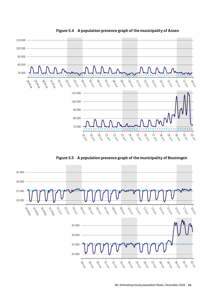

<span id="page-25-0"></span>Figure 5.4 A population presence graph of the municipality of Assen

<span id="page-25-1"></span>Figure 5.5 A population presence graph of the municipality of Beuningen

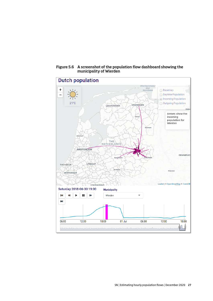

<span id="page-26-0"></span>Figure 5.6 A screenshot of the population flow dashboard showing the municipality of Wierden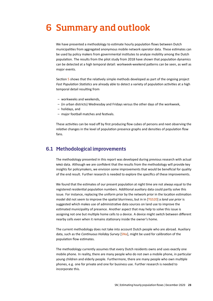# <span id="page-27-0"></span>6 Summary and outlook

We have presented a methodology to estimate hourly population flows between Dutch municipalities from aggregated anonymous mobile network operator data. These estimates can be used by policy makers from governmental institutes to analyze mobility among the Dutch population. The results from the pilot study from 2018 have shown that population dynamics can be detected at a high temporal detail: workweek-weekend patterns can be seen, as well as major events.

Section [5](#page-21-0) shows that the relatively simple methods developed as part of the ongoing project *Fast Population Statistics* are already able to detect a variety of population activities at a high temporal detail resulting from

- workweeks and weekends,
- (in urban districts) Wednesday and Fridays versus the other days of the workweek,
- holidays, and
- major football matches and festivals.

These activities can be read off by first producing flow cubes of persons and next observing the *relative* changes in the level of population presence graphs and densities of population flow fans.

# <span id="page-27-1"></span>6.1 Methodological improvements

The methodology presented in this report was developed during previous research with actual MNO data. Although we are confident that the results from the methodology will provide key insights for policymakers, we envision some improvements that would be beneficial for quality of the end result. Further research is needed to explore the specifics of these improvements.

We found that the estimates of our present population at night time are not always equal to the registered residential population numbers. Additional auxiliary data could partly solve this issue. For instance, replacing the uniform prior by the network prior in the location estimation model did not seem to improve the spatial blurriness, but in in [\[TGS20\]](#page-29-7) a *land use prior* is suggested which makes use of administrative data sources on land use to improve the estimated municipality of presence. Another aspect that may help to solve this issue is assigning not one but multiple home cells to a device. A device might switch between different nearby cells even when it remains stationary inside the owner's home.

The current methodology does not take into account Dutch people who are abroad. Auxiliary data, such as the *Continuous Holiday Survey* [\[SNa\]](#page-29-12), might be used for calibration of the population flow estimates.

The methodology currently assumes that every Dutch residents owns and uses exactly one mobile phone. In reality, there are many people who do not own a mobile phone, in particular young children and elderly people. Furthermore, there are many people who own multiple phones, e.g. one for private and one for business use. Further research is needed to incorporate this.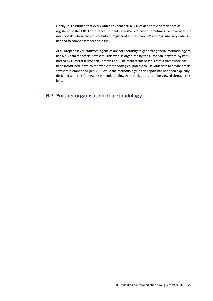Finally, it is assumed that every Dutch resident actually lives at address of residence as registered in the PRD. For instance, students in higher education sometimes live in or near the municipality where they study, but are registered at their parents' address. Auxiliary data is needed to compensate for this issue.

At a European level, statistical agencies are collaborating to generate general methodology to use MNO data for official statistics. This work is organized by the European Statistical System hosted by Eurostat (European Commission). The main result so far is that a framework has been introduced in which the whole methodological process to use MNO data to create official statistics is embedded [\[Ric+20\]](#page-29-13). While the methodology in this report has not been explicitly designed with this framework in mind, the flowchart in Figure [1.1](#page-7-0) can be viewed through this lens.

# <span id="page-28-0"></span>6.2 Further organisation of methodology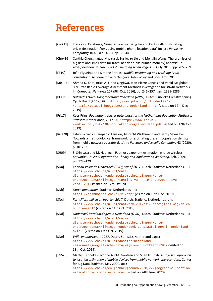# References

- <span id="page-29-3"></span>[Cal+11] Francesco Calabrese, Giusy Di Lorenzo, Liang Liu and Carlo Ratti. 'Estimating origin-destination flows using mobile phone location data'. In: *IEEE Pervasive Computing* 10.4 (Oct. 2011), pp. 36–44.
- <span id="page-29-2"></span>[Che+16] Cynthia Chen, Jingtao Ma, Yusak Susilo, Yu Liu and Menglin Wang. 'The promises of big data and small data for travel behavior (aka human mobility) analysis'. In: *Transportation Research Part : Emerging Technologies* 68 (July 2016), pp. 285–299.
- <span id="page-29-9"></span>[FF10] João Figueiras and Simone Frattasi. *Mobile positioning and tracking: From conventional to cooperative techniques*. John Wiley and Sons, Ltd., 2010.
- <span id="page-29-8"></span>[Kor+16] Ahmed D. Kora, Brice A. Elono Ongbwa, Jean-Pierre Cances and Vahid Meghdadi. 'Accurate Radio Coverage Assessment Methods Investigation for 3G/4G Networks'. In: *Computer Networks* 107 (9th Oct. 2016), pp. 246–257. ISSN: 1389-1286.
- <span id="page-29-6"></span>[PDOK] *Dataset: Actueel Hoogtebestand Nederland (AHN1)*. Dutch. Publieke Dienstverlening Op de Kaart (PDOK). URL: [https://www.pdok.nl/introductie/-](https://www.pdok.nl/introductie/-/article/actueel-hoogtebestand-nederland-ahn1-) [/article/actueel-hoogtebestand-nederland-ahn1-](https://www.pdok.nl/introductie/-/article/actueel-hoogtebestand-nederland-ahn1-) (visited on 12th Dec. 2019).
- <span id="page-29-0"></span>[Pri17] Kees Prins. *Population register data, basis for the Netherlands Population Statistics*. Statistics Netherlands, 2017. URL: [https://www.cbs.nl/-](https://www.cbs.nl/-/media/_pdf/2017/38/population-register-data.pdf) [/media/\\_pdf/2017/38/population-register-data.pdf](https://www.cbs.nl/-/media/_pdf/2017/38/population-register-data.pdf) (visited on 17th Oct. 2019).
- <span id="page-29-13"></span>[Ric+20] Fabio Ricciato, Giampaolo Lanzieri, Albrecht Wirthmann and Gerdy Seynaeve. 'Towards a methodological framework for estimating present population density from mobile network operator data'. In: *Pervasive and Mobile Computing* 68 (2020), p. 101263.
- <span id="page-29-10"></span>[SH09] S. Srinivasa and M. Haenggi. 'Path loss exponent estimation in large wireless networks'. In: *2009 Information Theory and Applications Workshop*. Feb. 2009, pp. 124–129.
- <span id="page-29-12"></span>[SNa] *Continu Vakantie Onderzoek (CVO), vanaf 2017*. Dutch. Statistics Netherlands. URL: [https://www.cbs.nl/nl-nl/onze](https://www.cbs.nl/nl-nl/onze-diensten/methoden/onderzoeksomschrijvingen/korte-onderzoeksbeschrijvingen/continu-vakantie-onderzoek--cvo---vanaf-2017)[diensten/methoden/onderzoeksomschrijvingen/korte](https://www.cbs.nl/nl-nl/onze-diensten/methoden/onderzoeksomschrijvingen/korte-onderzoeksbeschrijvingen/continu-vakantie-onderzoek--cvo---vanaf-2017)[onderzoeksbeschrijvingen/continu-vakantie-onderzoek--cvo--](https://www.cbs.nl/nl-nl/onze-diensten/methoden/onderzoeksomschrijvingen/korte-onderzoeksbeschrijvingen/continu-vakantie-onderzoek--cvo---vanaf-2017) [vanaf-2017](https://www.cbs.nl/nl-nl/onze-diensten/methoden/onderzoeksomschrijvingen/korte-onderzoeksbeschrijvingen/continu-vakantie-onderzoek--cvo---vanaf-2017) (visited on 17th Oct. 2019).
- <span id="page-29-11"></span>[SNb] *Dutch population*. Statistics Netherlands. URL: <https://dashboards.cbs.nl/v1/dtp/> (visited on 13th Dec. 2019).
- <span id="page-29-4"></span>[SNc] *Kerncijfers wijken en buurten 2017*. Dutch. Statistics Netherlands. URL: [https://www.cbs.nl/nl-nl/maatwerk/2017/31/kerncijfers-wijken-en](https://www.cbs.nl/nl-nl/maatwerk/2017/31/kerncijfers-wijken-en-buurten-2017)[buurten-2017](https://www.cbs.nl/nl-nl/maatwerk/2017/31/kerncijfers-wijken-en-buurten-2017) (visited on 14th Oct. 2019).
- <span id="page-29-1"></span>[SNd] *Onderzoek Verplaatsingen in Nederland (OViN)*. Dutch. Statistics Netherlands. URL: [https://www.cbs.nl/nl-nl/onze](https://www.cbs.nl/nl-nl/onze-diensten/methoden/onderzoeksomschrijvingen/korte-onderzoeksbeschrijvingen/onderzoek-verplaatsingen-in-nederland--ovin--)[diensten/methoden/onderzoeksomschrijvingen/korte](https://www.cbs.nl/nl-nl/onze-diensten/methoden/onderzoeksomschrijvingen/korte-onderzoeksbeschrijvingen/onderzoek-verplaatsingen-in-nederland--ovin--)[onderzoeksbeschrijvingen/onderzoek-verplaatsingen-in-nederland-](https://www.cbs.nl/nl-nl/onze-diensten/methoden/onderzoeksomschrijvingen/korte-onderzoeksbeschrijvingen/onderzoek-verplaatsingen-in-nederland--ovin--) [ovin--](https://www.cbs.nl/nl-nl/onze-diensten/methoden/onderzoeksomschrijvingen/korte-onderzoeksbeschrijvingen/onderzoek-verplaatsingen-in-nederland--ovin--) (visited on 17th Oct. 2019).
- <span id="page-29-5"></span>[SNe] *Wijk- en buurtkaart 2017*. Dutch. Statistics Netherlands. URL: [https://www.cbs.nl/nl-nl/dossier/nederland](https://www.cbs.nl/nl-nl/dossier/nederland-regionaal/geografische-data/wijk-en-buurtkaart-2017)[regionaal/geografische-data/wijk-en-buurtkaart-2017](https://www.cbs.nl/nl-nl/dossier/nederland-regionaal/geografische-data/wijk-en-buurtkaart-2017) (visited on 18th Oct. 2019).
- <span id="page-29-7"></span>[TGS20] Martijn Tennekes, Yvonne A.P.M. Gootzen and Shan H. Shah. *A Bayesian approach to location estimation of mobile devices from mobile network operator data*. Center for Big Data Statistics. May 2020. URL: [https://www.cbs.nl/en-gb/background/2020/22/geographic-location](https://www.cbs.nl/en-gb/background/2020/22/geographic-location-estimation-of-mobile-devices)[estimation-of-mobile-devices](https://www.cbs.nl/en-gb/background/2020/22/geographic-location-estimation-of-mobile-devices) (visited on 24th June 2020).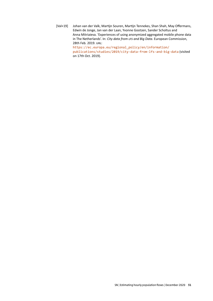<span id="page-30-0"></span>[Val+19] Johan van der Valk, Martijn Souren, Martijn Tennekes, Shan Shah, May Offermans, Edwin de Jonge, Jan van der Laan, Yvonne Gootzen, Sander Scholtus and Anna Mitriaieva. 'Experiences of using anonymized aggregated mobile phone data in The Netherlands'. In: *City data from LFS and Big Data*. European Commission, 28th Feb. 2019. URL: [https://ec.europa.eu/regional\\_policy/en/information/](https://ec.europa.eu/regional_policy/en/information/publications/studies/2019/city-data-from-lfs-and-big-data) [publications/studies/2019/city-data-from-lfs-and-big-data](https://ec.europa.eu/regional_policy/en/information/publications/studies/2019/city-data-from-lfs-and-big-data) (visited on 17th Oct. 2019).